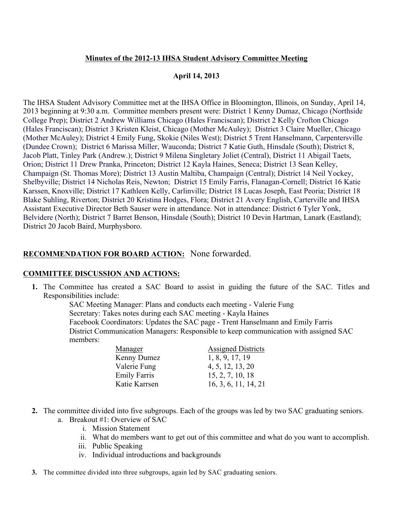## **Minutes of the 2012-13 IHSA Student Advisory Committee Meeting**

## **April 14, 2013**

The IHSA Student Advisory Committee met at the IHSA Office in Bloomington, Illinois, on Sunday, April 14, 2013 beginning at 9:30 a.m. Committee members present were: District 1 Kenny Dumaz, Chicago (Northside College Prep); District 2 Andrew Williams Chicago (Hales Franciscan); District 2 Kelly Crofton Chicago (Hales Franciscan); District 3 Kristen Kleist, Chicago (Mother McAuley); District 3 Claire Mueller, Chicago (Mother McAuley); District 4 Emily Fung, Skokie (Niles West); District 5 Trent Hanselmann, Carpentersville (Dundee Crown); District 6 Marissa Miller, Wauconda; District 7 Katie Guth, Hinsdale (South); District 8, Jacob Platt, Tinley Park (Andrew.); District 9 Milena Singletary Joliet (Central), District 11 Abigail Taets, Orion; District 11 Drew Pranka, Princeton; District 12 Kayla Haines, Seneca; District 13 Sean Kelley, Champaign (St. Thomas More); District 13 Austin Maltiba, Champaign (Central); District 14 Neil Yockey, Shelbyville; District 14 Nicholas Reis, Newton; District 15 Emily Farris, Flanagan-Cornell; District 16 Katie Karssen, Knoxville; District 17 Kathleen Kelly, Carlinville; District 18 Lucas Joseph, East Peoria; District 18 Blake Suhling, Riverton; District 20 Kristina Hodges, Flora; District 21 Avery English, Carterville and IHSA Assistant Executive Director Beth Sauser were in attendance. Not in attendance: District 6 Tyler Yonk, Belvidere (North); District 7 Barret Benson, Hinsdale (South); District 10 Devin Hartman, Lanark (Eastland); District 20 Jacob Baird, Murphysboro.

## **RECOMMENDATION FOR BOARD ACTION:** None forwarded.

## **COMMITTEE DISCUSSION AND ACTIONS:**

**1.** The Committee has created a SAC Board to assist in guiding the future of the SAC. Titles and Responsibilities include:

SAC Meeting Manager: Plans and conducts each meeting - Valerie Fung Secretary: Takes notes during each SAC meeting - Kayla Haines Facebook Coordinators: Updates the SAC page - Trent Hanselmann and Emily Farris District Communication Managers: Responsible to keep communication with assigned SAC members:

| Manager             | <b>Assigned Districts</b> |
|---------------------|---------------------------|
| Kenny Dumez         | 1, 8, 9, 17, 19           |
| Valerie Fung        | 4, 5, 12, 13, 20          |
| <b>Emily Farris</b> | 15, 2, 7, 10, 18          |
| Katie Karrsen       | 16, 3, 6, 11, 14, 21      |

- **2.** The committee divided into five subgroups. Each of the groups was led by two SAC graduating seniors.
	- a. Breakout #1: Overview of SAC
		- i. Mission Statement
		- ii. What do members want to get out of this committee and what do you want to accomplish.
		- iii. Public Speaking
		- iv. Individual introductions and backgrounds
- **3.** The committee divided into three subgroups, again led by SAC graduating seniors.